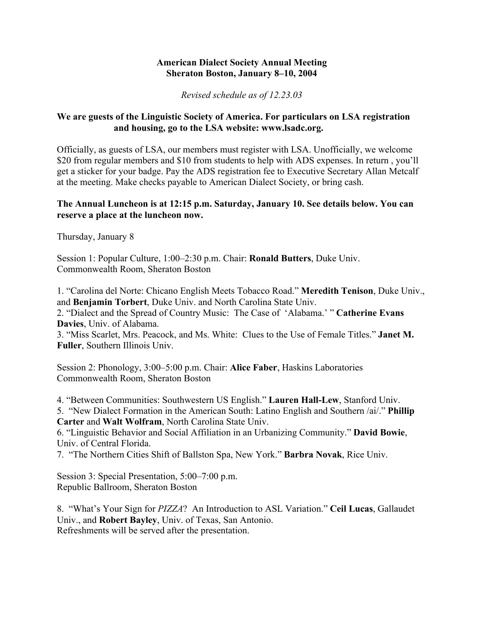## **American Dialect Society Annual Meeting Sheraton Boston, January 8–10, 2004**

*Revised schedule as of 12.23.03*

## **We are guests of the Linguistic Society of America. For particulars on LSA registration and housing, go to the LSA website: www.lsadc.org.**

Officially, as guests of LSA, our members must register with LSA. Unofficially, we welcome \$20 from regular members and \$10 from students to help with ADS expenses. In return, you'll get a sticker for your badge. Pay the ADS registration fee to Executive Secretary Allan Metcalf at the meeting. Make checks payable to American Dialect Society, or bring cash.

## **The Annual Luncheon is at 12:15 p.m. Saturday, January 10. See details below. You can reserve a place at the luncheon now.**

Thursday, January 8

Session 1: Popular Culture, 1:00–2:30 p.m. Chair: **Ronald Butters**, Duke Univ. Commonwealth Room, Sheraton Boston

1. "Carolina del Norte: Chicano English Meets Tobacco Road." **Meredith Tenison**, Duke Univ., and **Benjamin Torbert**, Duke Univ. and North Carolina State Univ.

2. "Dialect and the Spread of Country Music: The Case of 'Alabama.' " **Catherine Evans Davies**, Univ. of Alabama.

3. "Miss Scarlet, Mrs. Peacock, and Ms. White: Clues to the Use of Female Titles." **Janet M. Fuller**, Southern Illinois Univ.

Session 2: Phonology, 3:00–5:00 p.m. Chair: **Alice Faber**, Haskins Laboratories Commonwealth Room, Sheraton Boston

4. "Between Communities: Southwestern US English." **Lauren Hall-Lew**, Stanford Univ.

5. "New Dialect Formation in the American South: Latino English and Southern /ai/." **Phillip Carter** and **Walt Wolfram**, North Carolina State Univ.

6. "Linguistic Behavior and Social Affiliation in an Urbanizing Community." **David Bowie**, Univ. of Central Florida.

7. "The Northern Cities Shift of Ballston Spa, New York." **Barbra Novak**, Rice Univ.

Session 3: Special Presentation, 5:00–7:00 p.m. Republic Ballroom, Sheraton Boston

8. "What's Your Sign for *PIZZA*? An Introduction to ASL Variation." **Ceil Lucas**, Gallaudet Univ., and **Robert Bayley**, Univ. of Texas, San Antonio. Refreshments will be served after the presentation.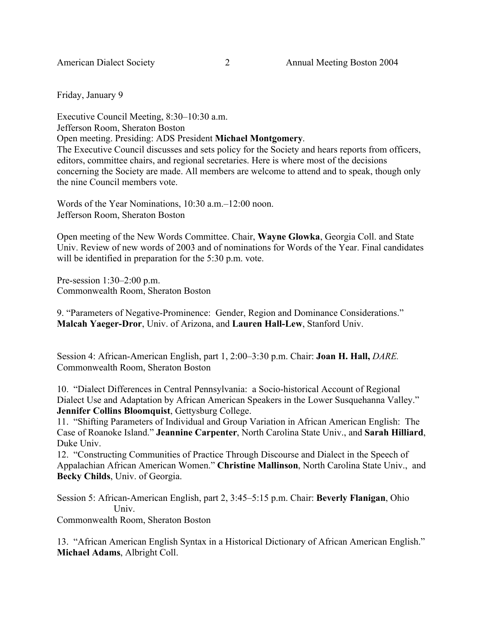Friday, January 9

Executive Council Meeting, 8:30–10:30 a.m. Jefferson Room, Sheraton Boston Open meeting. Presiding: ADS President **Michael Montgomery**. The Executive Council discusses and sets policy for the Society and hears reports from officers, editors, committee chairs, and regional secretaries. Here is where most of the decisions concerning the Society are made. All members are welcome to attend and to speak, though only the nine Council members vote.

Words of the Year Nominations, 10:30 a.m.–12:00 noon. Jefferson Room, Sheraton Boston

Open meeting of the New Words Committee. Chair, **Wayne Glowka**, Georgia Coll. and State Univ. Review of new words of 2003 and of nominations for Words of the Year. Final candidates will be identified in preparation for the 5:30 p.m. vote.

Pre-session 1:30–2:00 p.m. Commonwealth Room, Sheraton Boston

9. "Parameters of Negative-Prominence: Gender, Region and Dominance Considerations." **Malcah Yaeger-Dror**, Univ. of Arizona, and **Lauren Hall-Lew**, Stanford Univ.

Session 4: African-American English, part 1, 2:00–3:30 p.m. Chair: **Joan H. Hall,** *DARE.* Commonwealth Room, Sheraton Boston

10. "Dialect Differences in Central Pennsylvania: a Socio-historical Account of Regional Dialect Use and Adaptation by African American Speakers in the Lower Susquehanna Valley." **Jennifer Collins Bloomquist**, Gettysburg College.

11. "Shifting Parameters of Individual and Group Variation in African American English: The Case of Roanoke Island." **Jeannine Carpenter**, North Carolina State Univ., and **Sarah Hilliard**, Duke Univ.

12. "Constructing Communities of Practice Through Discourse and Dialect in the Speech of Appalachian African American Women." **Christine Mallinson**, North Carolina State Univ., and **Becky Childs**, Univ. of Georgia.

Session 5: African-American English, part 2, 3:45–5:15 p.m. Chair: **Beverly Flanigan**, Ohio Univ.

Commonwealth Room, Sheraton Boston

13. "African American English Syntax in a Historical Dictionary of African American English." **Michael Adams**, Albright Coll.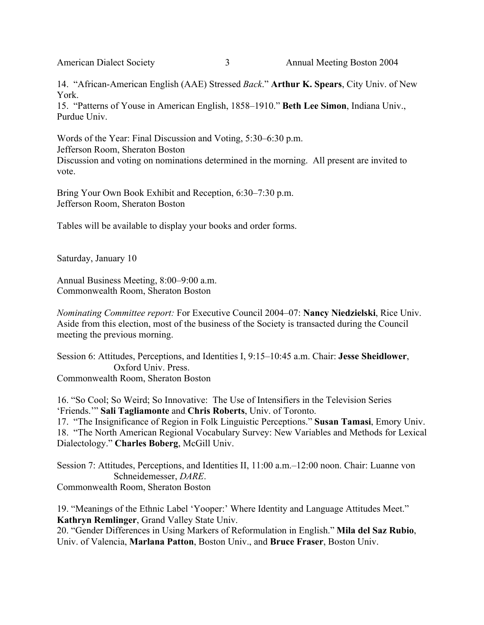14. "African-American English (AAE) Stressed *Back*." **Arthur K. Spears**, City Univ. of New York.

15. "Patterns of Youse in American English, 1858–1910." **Beth Lee Simon**, Indiana Univ., Purdue Univ.

Words of the Year: Final Discussion and Voting, 5:30–6:30 p.m. Jefferson Room, Sheraton Boston Discussion and voting on nominations determined in the morning. All present are invited to vote.

Bring Your Own Book Exhibit and Reception, 6:30–7:30 p.m. Jefferson Room, Sheraton Boston

Tables will be available to display your books and order forms.

Saturday, January 10

Annual Business Meeting, 8:00–9:00 a.m. Commonwealth Room, Sheraton Boston

*Nominating Committee report:* For Executive Council 2004–07: **Nancy Niedzielski**, Rice Univ. Aside from this election, most of the business of the Society is transacted during the Council meeting the previous morning.

Session 6: Attitudes, Perceptions, and Identities I, 9:15–10:45 a.m. Chair: **Jesse Sheidlower**, Oxford Univ. Press. Commonwealth Room, Sheraton Boston

16. "So Cool; So Weird; So Innovative: The Use of Intensifiers in the Television Series 'Friends.'" **Sali Tagliamonte** and **Chris Roberts**, Univ. of Toronto.

17. "The Insignificance of Region in Folk Linguistic Perceptions." **Susan Tamasi**, Emory Univ. 18. "The North American Regional Vocabulary Survey: New Variables and Methods for Lexical Dialectology." **Charles Boberg**, McGill Univ.

Session 7: Attitudes, Perceptions, and Identities II, 11:00 a.m.–12:00 noon. Chair: Luanne von Schneidemesser, *DARE*. Commonwealth Room, Sheraton Boston

19. "Meanings of the Ethnic Label 'Yooper:' Where Identity and Language Attitudes Meet." **Kathryn Remlinger**, Grand Valley State Univ.

20. "Gender Differences in Using Markers of Reformulation in English." **Mila del Saz Rubio**, Univ. of Valencia, **Marlana Patton**, Boston Univ., and **Bruce Fraser**, Boston Univ.